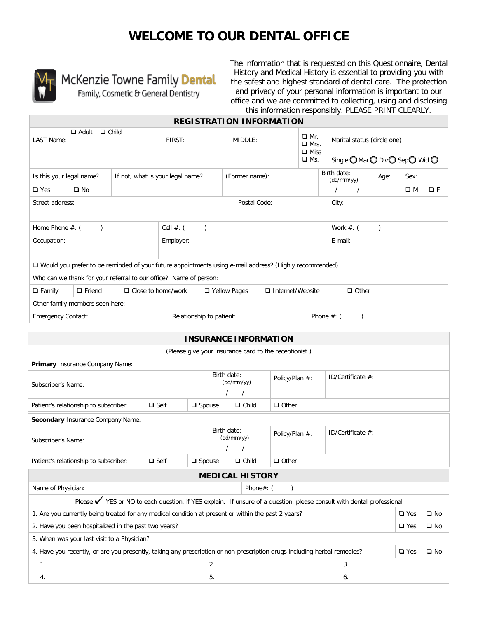# **WELCOME TO OUR DENTAL OFFICE**



McKenzie Towne Family Dental Family, Cosmetic & General Dentistry

The information that is requested on this Questionnaire, Dental History and Medical History is essential to providing you with the safest and highest standard of dental care. The protection and privacy of your personal information is important to our office and we are committed to collecting, using and disclosing this information responsibly. PLEASE PRINT CLEARLY.

| <b>REGISTRATION INFORMATION</b>                                                                          |              |                                  |                          |                     |                            |                              |                             |       |      |                                 |             |          |
|----------------------------------------------------------------------------------------------------------|--------------|----------------------------------|--------------------------|---------------------|----------------------------|------------------------------|-----------------------------|-------|------|---------------------------------|-------------|----------|
| $\Box$ Child<br>$\Box$ Adult<br>LAST Name:                                                               |              | FIRST:                           | MIDDLE:                  |                     | $\Box$ Mr.<br>$\Box$ Mrs.  |                              | Marital status (circle one) |       |      |                                 |             |          |
|                                                                                                          |              |                                  |                          |                     |                            | $\Box$ Miss<br>$\square$ Ms. |                             |       |      | Single OMar O Div O Sep O Wid O |             |          |
| Is this your legal name?                                                                                 |              | If not, what is your legal name? | (Former name):           |                     |                            | Birth date:<br>(dd/mm/yy)    |                             | Age:  | Sex: |                                 |             |          |
| $\Box$ Yes                                                                                               | $\square$ No |                                  |                          |                     |                            |                              |                             |       |      |                                 | $\square$ M | $\Box F$ |
| Street address:                                                                                          |              |                                  |                          |                     | Postal Code:               |                              |                             | City: |      |                                 |             |          |
| Home Phone $#:$ (                                                                                        |              |                                  | Cell $#:$ (<br>$\lambda$ |                     | Work $\#$ : (<br>$\lambda$ |                              |                             |       |      |                                 |             |          |
| Occupation:                                                                                              |              |                                  | Employer:<br>E-mail:     |                     |                            |                              |                             |       |      |                                 |             |          |
| □ Would you prefer to be reminded of your future appointments using e-mail address? (Highly recommended) |              |                                  |                          |                     |                            |                              |                             |       |      |                                 |             |          |
| Who can we thank for your referral to our office? Name of person:                                        |              |                                  |                          |                     |                            |                              |                             |       |      |                                 |             |          |
| $\Box$ Close to home/work<br>$\Box$ Friend<br>$\Box$ Family                                              |              |                                  |                          | $\Box$ Yellow Pages | □ Internet/Website         |                              | $\Box$ Other                |       |      |                                 |             |          |
| Other family members seen here:                                                                          |              |                                  |                          |                     |                            |                              |                             |       |      |                                 |             |          |
| <b>Emergency Contact:</b>                                                                                |              | Relationship to patient:         |                          |                     | Phone $\#$ : (             |                              |                             |       |      |                                 |             |          |

| <b>INSURANCE INFORMATION</b>                                                                                                                              |                           |               |             |                        |                |                                                                                                                                  |               |              |  |
|-----------------------------------------------------------------------------------------------------------------------------------------------------------|---------------------------|---------------|-------------|------------------------|----------------|----------------------------------------------------------------------------------------------------------------------------------|---------------|--------------|--|
| (Please give your insurance card to the receptionist.)                                                                                                    |                           |               |             |                        |                |                                                                                                                                  |               |              |  |
| Primary Insurance Company Name:                                                                                                                           |                           |               |             |                        |                |                                                                                                                                  |               |              |  |
| Subscriber's Name:                                                                                                                                        |                           |               | Birth date: | (dd/mm/yy)<br>$\prime$ | Policy/Plan #: | ID/Certificate $#$ :                                                                                                             |               |              |  |
| Patient's relationship to subscriber:                                                                                                                     | $\Box$ Self               | $\Box$ Spouse |             | $\Box$ Child           | $\Box$ Other   |                                                                                                                                  |               |              |  |
| Secondary Insurance Company Name:                                                                                                                         |                           |               |             |                        |                |                                                                                                                                  |               |              |  |
| Birth date:<br>(dd/mm/yy)<br>Subscriber's Name:<br>$\prime$                                                                                               |                           |               |             |                        | Policy/Plan #: | ID/Certificate $#$ :                                                                                                             |               |              |  |
| Patient's relationship to subscriber:<br>$\Box$ Self<br>$\square$ Spouse                                                                                  |                           |               |             | $\Box$ Child           | $\Box$ Other   |                                                                                                                                  |               |              |  |
|                                                                                                                                                           |                           |               |             | <b>MEDICAL HISTORY</b> |                |                                                                                                                                  |               |              |  |
| Name of Physician:                                                                                                                                        | Phone $#:$ (<br>$\lambda$ |               |             |                        |                |                                                                                                                                  |               |              |  |
|                                                                                                                                                           |                           |               |             |                        |                | Please $\checkmark$ YES or NO to each question, if YES explain. If unsure of a question, please consult with dental professional |               |              |  |
| 1. Are you currently being treated for any medical condition at present or within the past 2 years?                                                       |                           |               |             |                        |                |                                                                                                                                  | $\square$ Yes | $\square$ No |  |
| 2. Have you been hospitalized in the past two years?                                                                                                      |                           |               |             |                        |                | $\square$ Yes                                                                                                                    | $\square$ No  |              |  |
| 3. When was your last visit to a Physician?                                                                                                               |                           |               |             |                        |                |                                                                                                                                  |               |              |  |
| 4. Have you recently, or are you presently, taking any prescription or non-prescription drugs including herbal remedies?<br>$\square$ No<br>$\square$ Yes |                           |               |             |                        |                |                                                                                                                                  |               |              |  |
| $\mathbf{1}$ .                                                                                                                                            |                           |               |             |                        |                | 3.                                                                                                                               |               |              |  |
| 5.<br>6.<br>4.                                                                                                                                            |                           |               |             |                        |                |                                                                                                                                  |               |              |  |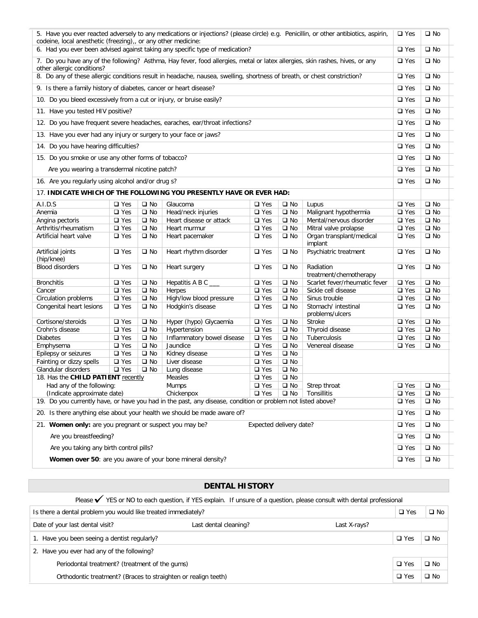| 5. Have you ever reacted adversely to any medications or injections? (please circle) e.g. Penicillin, or other antibiotics, aspirin,<br>$\square$ Yes<br>$\square$ No                   |               |              |                                                                                                                              |                         |              |                                        |               |              |  |
|-----------------------------------------------------------------------------------------------------------------------------------------------------------------------------------------|---------------|--------------|------------------------------------------------------------------------------------------------------------------------------|-------------------------|--------------|----------------------------------------|---------------|--------------|--|
| codeine, local anesthetic (freezing),, or any other medicine:<br>6. Had you ever been advised against taking any specific type of medication?                                           |               |              |                                                                                                                              |                         |              |                                        | $\square$ Yes | $\square$ No |  |
|                                                                                                                                                                                         |               |              | 7. Do you have any of the following? Asthma, Hay fever, food allergies, metal or latex allergies, skin rashes, hives, or any |                         |              |                                        | $\square$ Yes | $\square$ No |  |
| other allergic conditions?                                                                                                                                                              |               |              |                                                                                                                              |                         |              |                                        |               | $\square$ No |  |
|                                                                                                                                                                                         |               |              | 8. Do any of these allergic conditions result in headache, nausea, swelling, shortness of breath, or chest constriction?     |                         |              |                                        | $\Box$ Yes    |              |  |
| 9. Is there a family history of diabetes, cancer or heart disease?                                                                                                                      |               |              |                                                                                                                              |                         |              |                                        | $\square$ Yes | $\square$ No |  |
| 10. Do you bleed excessively from a cut or injury, or bruise easily?                                                                                                                    |               |              |                                                                                                                              |                         |              |                                        | $\Box$ Yes    | $\square$ No |  |
| 11. Have you tested HIV positive?                                                                                                                                                       |               |              |                                                                                                                              |                         |              |                                        | $\square$ Yes | $\square$ No |  |
|                                                                                                                                                                                         |               |              | 12. Do you have frequent severe headaches, earaches, ear/throat infections?                                                  |                         |              |                                        | $\square$ Yes | $\square$ No |  |
| 13. Have you ever had any injury or surgery to your face or jaws?                                                                                                                       |               |              |                                                                                                                              |                         |              |                                        | $\square$ Yes | $\square$ No |  |
| 14. Do you have hearing difficulties?                                                                                                                                                   |               |              |                                                                                                                              |                         |              |                                        | $\square$ Yes | $\square$ No |  |
| 15. Do you smoke or use any other forms of tobacco?                                                                                                                                     |               |              |                                                                                                                              |                         |              |                                        | $\square$ Yes | $\square$ No |  |
| Are you wearing a transdermal nicotine patch?                                                                                                                                           |               |              |                                                                                                                              |                         |              |                                        | $\square$ Yes | $\square$ No |  |
| 16. Are you regularly using alcohol and/or drug s?                                                                                                                                      |               |              |                                                                                                                              |                         |              |                                        | $\square$ Yes | $\square$ No |  |
|                                                                                                                                                                                         |               |              |                                                                                                                              |                         |              |                                        |               |              |  |
|                                                                                                                                                                                         |               |              | 17. INDICATE WHICH OF THE FOLLOWING YOU PRESENTLY HAVE OR EVER HAD:                                                          |                         |              |                                        |               |              |  |
| A.I.D.S                                                                                                                                                                                 | $\Box$ Yes    | $\square$ No | Glaucoma                                                                                                                     | $\Box$ Yes              | $\square$ No | Lupus                                  | $\Box$ Yes    | $\square$ No |  |
| Anemia                                                                                                                                                                                  | $\square$ Yes | $\square$ No | Head/neck injuries                                                                                                           | $\square$ Yes           | $\square$ No | Malignant hypothermia                  | $\square$ Yes | $\square$ No |  |
| Angina pectoris                                                                                                                                                                         | $\square$ Yes | $\square$ No | Heart disease or attack                                                                                                      | $\square$ Yes           | $\square$ No | Mental/nervous disorder                | $\square$ Yes | $\square$ No |  |
| Arthritis/rheumatism                                                                                                                                                                    | $\square$ Yes | $\square$ No | Heart murmur                                                                                                                 | $\square$ Yes           | $\square$ No | Mitral valve prolapse                  | $\square$ Yes | $\square$ No |  |
| Artificial heart valve                                                                                                                                                                  | $\square$ Yes | $\square$ No | Heart pacemaker                                                                                                              | $\Box$ Yes              | $\square$ No | Organ transplant/medical<br>implant    | $\square$ Yes | $\square$ No |  |
| Artificial joints<br>(hip/knee)                                                                                                                                                         | $\square$ Yes | $\square$ No | Heart rhythm disorder                                                                                                        | $\square$ Yes           | $\square$ No | Psychiatric treatment                  | $\square$ Yes | $\square$ No |  |
| <b>Blood disorders</b>                                                                                                                                                                  | $\square$ Yes | $\square$ No | Heart surgery                                                                                                                | $\square$ Yes           | $\square$ No | Radiation<br>treatment/chemotherapy    | $\Box$ Yes    | $\square$ No |  |
| <b>Bronchitis</b>                                                                                                                                                                       | $\square$ Yes | $\square$ No | Hepatitis A B C ___                                                                                                          | $\square$ Yes           | $\square$ No | Scarlet fever/rheumatic fever          | $\square$ Yes | $\square$ No |  |
| Cancer                                                                                                                                                                                  | $\square$ Yes | $\square$ No | Herpes                                                                                                                       | $\square$ Yes           | $\square$ No | Sickle cell disease                    | $\square$ Yes | $\square$ No |  |
| Circulation problems                                                                                                                                                                    | $\square$ Yes | $\square$ No | High/low blood pressure                                                                                                      | $\square$ Yes           | $\square$ No | Sinus trouble                          | $\square$ Yes | $\square$ No |  |
| Congenital heart lesions                                                                                                                                                                | $\square$ Yes | $\square$ No | Hodgkin's disease                                                                                                            | $\Box$ Yes              | $\square$ No | Stomach/ intestinal<br>problems/ulcers | $\Box$ Yes    | $\square$ No |  |
| Cortisone/steroids                                                                                                                                                                      | $\square$ Yes | $\square$ No | Hyper (hypo) Glycaemia                                                                                                       | $\square$ Yes           | $\square$ No | Stroke                                 | $\square$ Yes | $\square$ No |  |
| Crohn's disease                                                                                                                                                                         | $\square$ Yes | $\square$ No | Hypertension                                                                                                                 | $\square$ Yes           | $\square$ No | Thyroid disease                        | $\square$ Yes | $\square$ No |  |
| <b>Diabetes</b>                                                                                                                                                                         | $\square$ Yes | $\square$ No | Inflammatory bowel disease                                                                                                   | $\square$ Yes           | $\square$ No | Tuberculosis                           | $\square$ Yes | $\square$ No |  |
| Emphysema                                                                                                                                                                               | $\square$ Yes | $\square$ No | Jaundice                                                                                                                     | $\square$ Yes           | $\square$ No | Venereal disease                       | $\square$ Yes | $\square$ No |  |
| Epilepsy or seizures                                                                                                                                                                    | $\Box$ Yes    | $\square$ No | Kidney disease                                                                                                               | $\square$ Yes           | $\square$ No |                                        |               |              |  |
| Fainting or dizzy spells                                                                                                                                                                | $\square$ Yes | $\square$ No | Liver disease                                                                                                                | $\square$ Yes           | $\square$ No |                                        |               |              |  |
| Glandular disorders                                                                                                                                                                     | $\square$ Yes | $\square$ No | Lung disease                                                                                                                 | $\Box$ Yes              | $\square$ No |                                        |               |              |  |
| 18. Has the <b>CHILD PATIENT</b> recently                                                                                                                                               |               |              | Measles                                                                                                                      | $\square$ Yes           | $\square$ No |                                        |               |              |  |
| Had any of the following:                                                                                                                                                               |               |              | <b>Mumps</b>                                                                                                                 | $\square$ Yes           | $\square$ No | Strep throat                           | $\square$ Yes | $\square$ No |  |
| (Indicate approximate date)                                                                                                                                                             |               |              | Chickenpox                                                                                                                   | $\square$ Yes           | $\square$ No | Tonsillitis                            | $\square$ Yes | $\square$ No |  |
|                                                                                                                                                                                         |               |              |                                                                                                                              |                         |              |                                        | $\square$ Yes | $\square$ No |  |
| 19. Do you currently have, or have you had in the past, any disease, condition or problem not listed above?<br>20. Is there anything else about your health we should be made aware of? |               |              |                                                                                                                              |                         |              |                                        | $\square$ Yes | $\square$ No |  |
| 21. Women only: are you pregnant or suspect you may be?                                                                                                                                 |               |              |                                                                                                                              | Expected delivery date? |              |                                        | $\square$ Yes | $\square$ No |  |
| Are you breastfeeding?                                                                                                                                                                  |               |              |                                                                                                                              |                         |              |                                        | $\square$ Yes | $\square$ No |  |
| Are you taking any birth control pills?                                                                                                                                                 |               |              |                                                                                                                              |                         |              |                                        | $\square$ Yes | $\square$ No |  |
|                                                                                                                                                                                         |               |              |                                                                                                                              |                         |              |                                        | $\square$ Yes | $\square$ No |  |
| Women over 50: are you aware of your bone mineral density?                                                                                                                              |               |              |                                                                                                                              |                         |              |                                        |               |              |  |

## **DENTAL HISTORY**

|                                                                | Please $\checkmark$ YES or NO to each question, if YES explain. If unsure of a question, please consult with dental professional |              |  |              |  |  |
|----------------------------------------------------------------|----------------------------------------------------------------------------------------------------------------------------------|--------------|--|--------------|--|--|
| Is there a dental problem you would like treated immediately?  |                                                                                                                                  |              |  |              |  |  |
| Date of your last dental visit?                                | Last dental cleaning?                                                                                                            | Last X-rays? |  |              |  |  |
| 1. Have you been seeing a dentist regularly?                   |                                                                                                                                  |              |  |              |  |  |
| 2. Have you ever had any of the following?                     |                                                                                                                                  |              |  |              |  |  |
| Periodontal treatment? (treatment of the gums)                 |                                                                                                                                  |              |  | $\square$ No |  |  |
| Orthodontic treatment? (Braces to straighten or realign teeth) |                                                                                                                                  |              |  |              |  |  |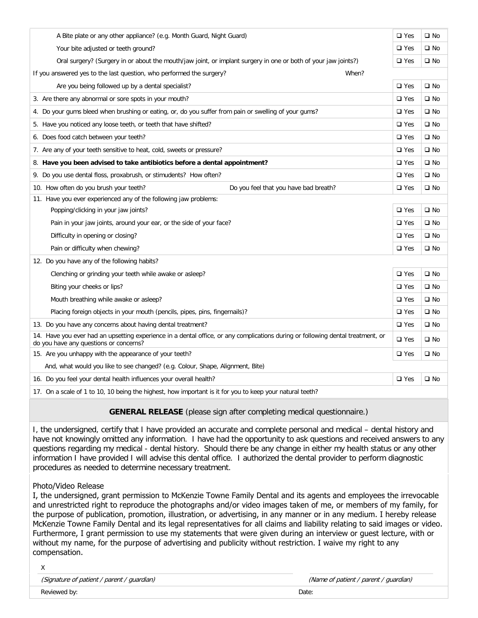| A Bite plate or any other appliance? (e.g. Month Guard, Night Guard)                                                                                                      | $\Box$ Yes    | $\square$ No |
|---------------------------------------------------------------------------------------------------------------------------------------------------------------------------|---------------|--------------|
| Your bite adjusted or teeth ground?                                                                                                                                       | $\Box$ Yes    | $\square$ No |
| Oral surgery? (Surgery in or about the mouth/jaw joint, or implant surgery in one or both of your jaw joints?)                                                            | $\Box$ Yes    | $\square$ No |
| When?<br>If you answered yes to the last question, who performed the surgery?                                                                                             |               |              |
| Are you being followed up by a dental specialist?                                                                                                                         | $\square$ Yes | $\square$ No |
| 3. Are there any abnormal or sore spots in your mouth?                                                                                                                    | $\Box$ Yes    | $\square$ No |
| 4. Do your gums bleed when brushing or eating, or, do you suffer from pain or swelling of your gums?                                                                      | $\Box$ Yes    | $\square$ No |
| 5. Have you noticed any loose teeth, or teeth that have shifted?                                                                                                          | $\Box$ Yes    | $\square$ No |
| 6. Does food catch between your teeth?                                                                                                                                    | $\square$ Yes | $\square$ No |
| 7. Are any of your teeth sensitive to heat, cold, sweets or pressure?                                                                                                     | $\Box$ Yes    | $\square$ No |
| 8. Have you been advised to take antibiotics before a dental appointment?                                                                                                 | $\square$ Yes | $\square$ No |
| 9. Do you use dental floss, proxabrush, or stimudents? How often?                                                                                                         | $\Box$ Yes    | $\square$ No |
| 10. How often do you brush your teeth?<br>Do you feel that you have bad breath?                                                                                           | $\Box$ Yes    | $\square$ No |
| 11. Have you ever experienced any of the following jaw problems:                                                                                                          |               |              |
| Popping/clicking in your jaw joints?                                                                                                                                      | $\square$ Yes | $\square$ No |
| Pain in your jaw joints, around your ear, or the side of your face?                                                                                                       | $\Box$ Yes    | $\square$ No |
| Difficulty in opening or closing?                                                                                                                                         | $\Box$ Yes    | $\square$ No |
| Pain or difficulty when chewing?                                                                                                                                          | $\Box$ Yes    | $\square$ No |
| 12. Do you have any of the following habits?                                                                                                                              |               |              |
| Clenching or grinding your teeth while awake or asleep?                                                                                                                   | $\square$ Yes | $\square$ No |
| Biting your cheeks or lips?                                                                                                                                               | $\Box$ Yes    | $\square$ No |
| Mouth breathing while awake or asleep?                                                                                                                                    | $\Box$ Yes    | $\square$ No |
| Placing foreign objects in your mouth (pencils, pipes, pins, fingernails)?                                                                                                | $\Box$ Yes    | $\square$ No |
| 13. Do you have any concerns about having dental treatment?                                                                                                               | $\Box$ Yes    | $\square$ No |
| 14. Have you ever had an upsetting experience in a dental office, or any complications during or following dental treatment, or<br>do you have any questions or concerns? | $\Box$ Yes    | $\square$ No |
| 15. Are you unhappy with the appearance of your teeth?                                                                                                                    | $\Box$ Yes    | $\square$ No |
| And, what would you like to see changed? (e.g. Colour, Shape, Alignment, Bite)                                                                                            |               |              |
| 16. Do you feel your dental health influences your overall health?                                                                                                        | $\Box$ Yes    | $\square$ No |
| 17. On a scale of 1 to 10, 10 being the highest, how important is it for you to keep your natural teeth?                                                                  |               |              |
|                                                                                                                                                                           |               |              |

### **GENERAL RELEASE** (please sign after completing medical questionnaire.)

I, the undersigned, certify that I have provided an accurate and complete personal and medical – dental history and have not knowingly omitted any information. I have had the opportunity to ask questions and received answers to any questions regarding my medical - dental history. Should there be any change in either my health status or any other information I have provided I will advise this dental office. I authorized the dental provider to perform diagnostic procedures as needed to determine necessary treatment.

### Photo/Video Release

 $\vee$ 

I, the undersigned, grant permission to McKenzie Towne Family Dental and its agents and employees the irrevocable and unrestricted right to reproduce the photographs and/or video images taken of me, or members of my family, for the purpose of publication, promotion, illustration, or advertising, in any manner or in any medium. I hereby release McKenzie Towne Family Dental and its legal representatives for all claims and liability relating to said images or video. Furthermore, I grant permission to use my statements that were given during an interview or guest lecture, with or without my name, for the purpose of advertising and publicity without restriction. I waive my right to any compensation.

| (Signature of patient / parent / guardian) | (Name of patient / parent / guardian) |
|--------------------------------------------|---------------------------------------|
| Reviewed by:                               | Date:                                 |
|                                            |                                       |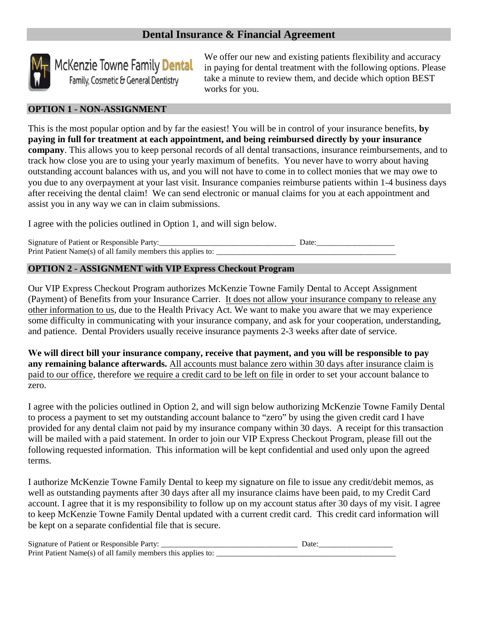# **Dental Insurance & Financial Agreement**



McKenzie Towne Family Dental Family, Cosmetic & General Dentistry

We offer our new and existing patients flexibility and accuracy in paying for dental treatment with the following options. Please take a minute to review them, and decide which option BEST works for you.

## **OPTION 1 - NON-ASSIGNMENT**

This is the most popular option and by far the easiest! You will be in control of your insurance benefits, **by paying in full for treatment at each appointment, and being reimbursed directly by your insurance company**. This allows you to keep personal records of all dental transactions, insurance reimbursements, and to track how close you are to using your yearly maximum of benefits. You never have to worry about having outstanding account balances with us, and you will not have to come in to collect monies that we may owe to you due to any overpayment at your last visit. Insurance companies reimburse patients within 1-4 business days after receiving the dental claim! We can send electronic or manual claims for you at each appointment and assist you in any way we can in claim submissions.

I agree with the policies outlined in Option 1, and will sign below.

Signature of Patient or Responsible Party: Date: Date: Print Patient Name(s) of all family members this applies to:

## **OPTION 2 - ASSIGNMENT with VIP Express Checkout Program**

Our VIP Express Checkout Program authorizes McKenzie Towne Family Dental to Accept Assignment (Payment) of Benefits from your Insurance Carrier. It does not allow your insurance company to release any other information to us, due to the Health Privacy Act. We want to make you aware that we may experience some difficulty in communicating with your insurance company, and ask for your cooperation, understanding, and patience. Dental Providers usually receive insurance payments 2-3 weeks after date of service.

**We will direct bill your insurance company, receive that payment, and you will be responsible to pay any remaining balance afterwards.** All accounts must balance zero within 30 days after insurance claim is paid to our office, therefore we require a credit card to be left on file in order to set your account balance to zero.

I agree with the policies outlined in Option 2, and will sign below authorizing McKenzie Towne Family Dental to process a payment to set my outstanding account balance to "zero" by using the given credit card I have provided for any dental claim not paid by my insurance company within 30 days. A receipt for this transaction will be mailed with a paid statement. In order to join our VIP Express Checkout Program, please fill out the following requested information. This information will be kept confidential and used only upon the agreed terms.

I authorize McKenzie Towne Family Dental to keep my signature on file to issue any credit/debit memos, as well as outstanding payments after 30 days after all my insurance claims have been paid, to my Credit Card account. I agree that it is my responsibility to follow up on my account status after 30 days of my visit. I agree to keep McKenzie Towne Family Dental updated with a current credit card. This credit card information will be kept on a separate confidential file that is secure.

| Signature of Patient or Responsible Party:                   |  |
|--------------------------------------------------------------|--|
| Print Patient Name(s) of all family members this applies to: |  |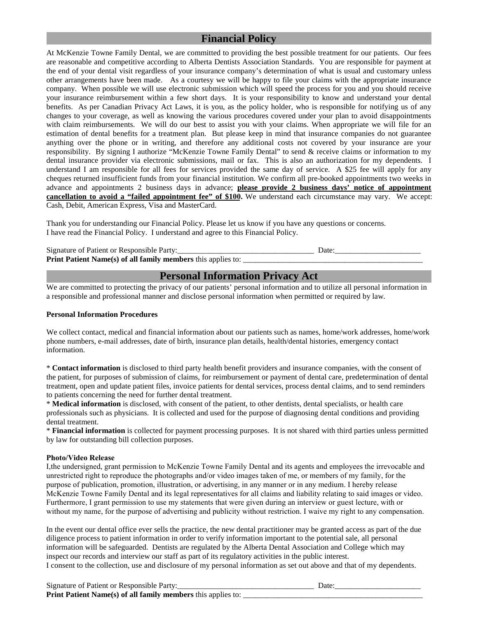# **Financial Policy**

At McKenzie Towne Family Dental, we are committed to providing the best possible treatment for our patients. Our fees are reasonable and competitive according to Alberta Dentists Association Standards. You are responsible for payment at the end of your dental visit regardless of your insurance company's determination of what is usual and customary unless other arrangements have been made. As a courtesy we will be happy to file your claims with the appropriate insurance company. When possible we will use electronic submission which will speed the process for you and you should receive your insurance reimbursement within a few short days. It is your responsibility to know and understand your dental benefits. As per Canadian Privacy Act Laws, it is you, as the policy holder, who is responsible for notifying us of any changes to your coverage, as well as knowing the various procedures covered under your plan to avoid disappointments with claim reimbursements. We will do our best to assist you with your claims. When appropriate we will file for an estimation of dental benefits for a treatment plan. But please keep in mind that insurance companies do not guarantee anything over the phone or in writing, and therefore any additional costs not covered by your insurance are your responsibility. By signing I authorize "McKenzie Towne Family Dental" to send & receive claims or information to my dental insurance provider via electronic submissions, mail or fax. This is also an authorization for my dependents. I understand I am responsible for all fees for services provided the same day of service. A \$25 fee will apply for any cheques returned insufficient funds from your financial institution. We confirm all pre-booked appointments two weeks in advance and appointments 2 business days in advance; **please provide 2 business days' notice of appointment cancellation to avoid a "failed appointment fee" of \$100.** We understand each circumstance may vary. We accept: Cash, Debit, American Express, Visa and MasterCard.

Thank you for understanding our Financial Policy. Please let us know if you have any questions or concerns. I have read the Financial Policy. I understand and agree to this Financial Policy.

| Signature of Patient or Responsible Party:                          | Jate |
|---------------------------------------------------------------------|------|
| <b>Print Patient Name(s) of all family members this applies to:</b> |      |

# **Personal Information Privacy Act**

We are committed to protecting the privacy of our patients' personal information and to utilize all personal information in a responsible and professional manner and disclose personal information when permitted or required by law.

### **Personal Information Procedures**

We collect contact, medical and financial information about our patients such as names, home/work addresses, home/work phone numbers, e-mail addresses, date of birth, insurance plan details, health/dental histories, emergency contact information.

\* **Contact information** is disclosed to third party health benefit providers and insurance companies, with the consent of the patient, for purposes of submission of claims, for reimbursement or payment of dental care, predetermination of dental treatment, open and update patient files, invoice patients for dental services, process dental claims, and to send reminders to patients concerning the need for further dental treatment.

\* **Medical information** is disclosed, with consent of the patient, to other dentists, dental specialists, or health care professionals such as physicians. It is collected and used for the purpose of diagnosing dental conditions and providing dental treatment.

\* **Financial information** is collected for payment processing purposes. It is not shared with third parties unless permitted by law for outstanding bill collection purposes.

### **Photo/Video Release**

I,the undersigned, grant permission to McKenzie Towne Family Dental and its agents and employees the irrevocable and unrestricted right to reproduce the photographs and/or video images taken of me, or members of my family, for the purpose of publication, promotion, illustration, or advertising, in any manner or in any medium. I hereby release McKenzie Towne Family Dental and its legal representatives for all claims and liability relating to said images or video. Furthermore, I grant permission to use my statements that were given during an interview or guest lecture, with or without my name, for the purpose of advertising and publicity without restriction. I waive my right to any compensation.

In the event our dental office ever sells the practice, the new dental practitioner may be granted access as part of the due diligence process to patient information in order to verify information important to the potential sale, all personal information will be safeguarded. Dentists are regulated by the Alberta Dental Association and College which may inspect our records and interview our staff as part of its regulatory activities in the public interest. I consent to the collection, use and disclosure of my personal information as set out above and that of my dependents.

| Signature of Patient or Responsible Party:                          | Date. |
|---------------------------------------------------------------------|-------|
| <b>Print Patient Name(s) of all family members this applies to:</b> |       |